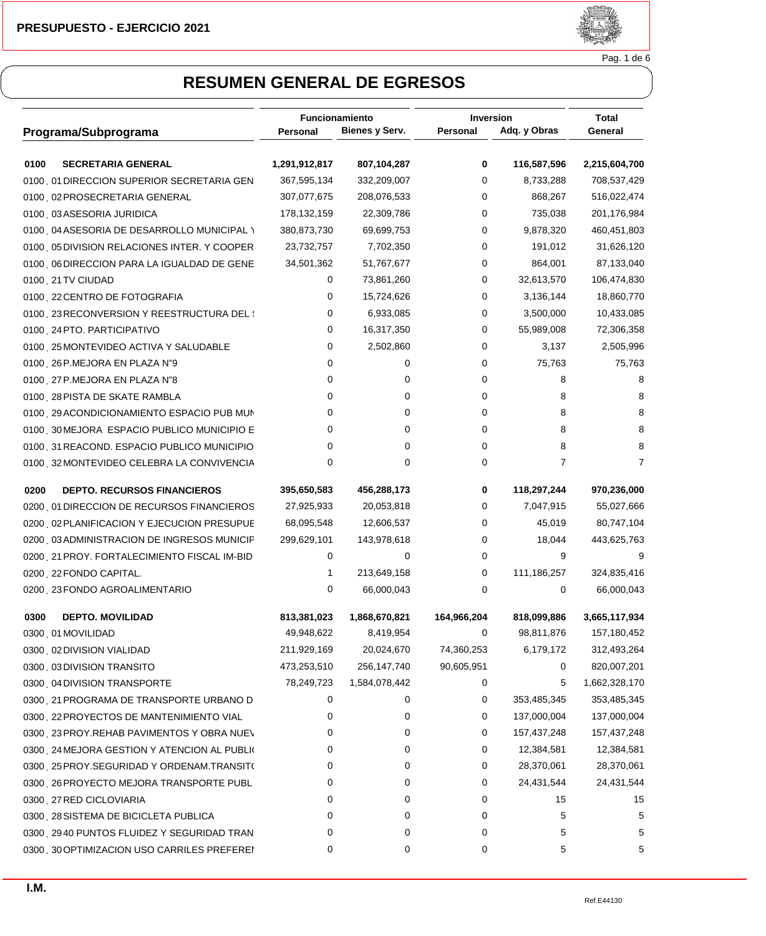

Pag. 1 de 6

|                                             | Funcionamiento |                | <b>Inversion</b> |                | <b>Total</b>  |  |
|---------------------------------------------|----------------|----------------|------------------|----------------|---------------|--|
| Programa/Subprograma                        | Personal       | Bienes y Serv. | Personal         | Adq. y Obras   | General       |  |
| 0100<br><b>SECRETARIA GENERAL</b>           | 1,291,912,817  | 807,104,287    | 0                | 116,587,596    | 2,215,604,700 |  |
| 0100 01 DIRECCION SUPERIOR SECRETARIA GEN   | 367,595,134    | 332,209,007    | 0                | 8,733,288      | 708,537,429   |  |
| 0100 02 PROSECRETARIA GENERAL               | 307,077,675    | 208,076,533    | 0                | 868,267        | 516,022,474   |  |
| 0100 03 ASESORIA JURIDICA                   | 178, 132, 159  | 22,309,786     | 0                | 735,038        | 201,176,984   |  |
| 0100 04 ASESORIA DE DESARROLLO MUNICIPAL \  | 380,873,730    | 69,699,753     | 0                | 9,878,320      | 460,451,803   |  |
| 0100 05 DIVISION RELACIONES INTER. Y COOPER | 23,732,757     | 7,702,350      | 0                | 191,012        | 31,626,120    |  |
| 0100 O6 DIRECCION PARA LA IGUALDAD DE GENE  | 34,501,362     | 51,767,677     | 0                | 864,001        | 87,133,040    |  |
| 0100 21 TV CIUDAD                           | 0              | 73,861,260     | 0                | 32,613,570     | 106,474,830   |  |
| 0100 22 CENTRO DE FOTOGRAFIA                | 0              | 15,724,626     | 0                | 3,136,144      | 18,860,770    |  |
| 0100 23RECONVERSION Y REESTRUCTURA DEL \    | 0              | 6,933,085      | 0                | 3,500,000      | 10,433,085    |  |
| 0100 24 PTO. PARTICIPATIVO                  | 0              | 16,317,350     | 0                | 55,989,008     | 72,306,358    |  |
| 0100 25 MONTEVIDEO ACTIVA Y SALUDABLE       | 0              | 2,502,860      | 0                | 3,137          | 2,505,996     |  |
| 0100 26 P.MEJORA EN PLAZA N"9               | 0              | 0              | 0                | 75,763         | 75,763        |  |
| 0100 27 P.MEJORA EN PLAZA N"8               | 0              | 0              | 0                | 8              | 8             |  |
| 0100 28 PISTA DE SKATE RAMBLA               | 0              | 0              | 0                | 8              | 8             |  |
| 0100 29 ACONDICIONAMIENTO ESPACIO PUB MUN   | 0              | 0              | 0                | 8              | 8             |  |
| 0100 30 MEJORA ESPACIO PUBLICO MUNICIPIO E  | 0              | 0              | 0                | 8              | 8             |  |
| 0100 31 REACOND. ESPACIO PUBLICO MUNICIPIO  | 0              | 0              | 0                | 8              | 8             |  |
| 0100 32 MONTEVIDEO CELEBRA LA CONVIVENCIA   | 0              | 0              | 0                | $\overline{7}$ | 7             |  |
| 0200<br><b>DEPTO. RECURSOS FINANCIEROS</b>  | 395,650,583    | 456,288,173    | 0                | 118,297,244    | 970,236,000   |  |
| 0200 01 DIRECCION DE RECURSOS FINANCIEROS   | 27,925,933     | 20,053,818     | 0                | 7,047,915      | 55,027,666    |  |
| 0200 02 PLANIFICACION Y EJECUCION PRESUPUE  | 68,095,548     | 12,606,537     | 0                | 45,019         | 80,747,104    |  |
| 0200 03 ADMINISTRACION DE INGRESOS MUNICIP  | 299,629,101    | 143,978,618    | 0                | 18,044         | 443,625,763   |  |
| 0200 21 PROY. FORTALECIMIENTO FISCAL IM-BID | 0              | 0              | 0                | 9              | 9             |  |
| 0200 22 FONDO CAPITAL.                      | $\mathbf{1}$   | 213,649,158    | 0                | 111,186,257    | 324,835,416   |  |
| 0200 23 FONDO AGROALIMENTARIO               | 0              | 66,000,043     | 0                | 0              | 66,000,043    |  |
| 0300<br><b>DEPTO. MOVILIDAD</b>             | 813,381,023    | 1,868,670,821  | 164,966,204      | 818,099,886    | 3,665,117,934 |  |
| 0300 01 MOVILIDAD                           | 49,948,622     | 8,419,954      | 0                | 98,811,876     | 157,180,452   |  |
| 0300 02 DIVISION VIALIDAD                   | 211,929,169    | 20,024,670     | 74,360,253       | 6,179,172      | 312,493,264   |  |
| 0300 03 DIVISION TRANSITO                   | 473,253,510    | 256,147,740    | 90,605,951       | 0              | 820,007,201   |  |
| 0300 04 DIVISION TRANSPORTE                 | 78,249,723     | 1,584,078,442  | 0                | 5              | 1,662,328,170 |  |
| 0300 21 PROGRAMA DE TRANSPORTE URBANO D     | 0              | 0              | 0                | 353,485,345    | 353,485,345   |  |
| 0300 22 PROYECTOS DE MANTENIMIENTO VIAL     | 0              | 0              | 0                | 137,000,004    | 137,000,004   |  |
| 0300 23 PROY.REHAB PAVIMENTOS Y OBRA NUEV   | 0              | 0              | 0                | 157,437,248    | 157,437,248   |  |
| 0300 24 MEJORA GESTION Y ATENCION AL PUBLIO | 0              | 0              | 0                | 12,384,581     | 12,384,581    |  |
| 0300 25 PROY.SEGURIDAD Y ORDENAM.TRANSIT(   | 0              | 0              | 0                | 28,370,061     | 28,370,061    |  |
| 0300 26 PROYECTO MEJORA TRANSPORTE PUBL     | 0              | 0              | 0                | 24,431,544     | 24,431,544    |  |
| 0300 27 RED CICLOVIARIA                     | 0              | 0              | 0                | 15             | 15            |  |
| 0300 28 SISTEMA DE BICICLETA PUBLICA        | 0              | 0              | 0                | 5              | 5             |  |
| 0300 2940 PUNTOS FLUIDEZ Y SEGURIDAD TRAN   | 0              | 0              | 0                | 5              | 5             |  |
| 0300 30 OPTIMIZACION USO CARRILES PREFEREN  | 0              | 0              | 0                | 5              | 5             |  |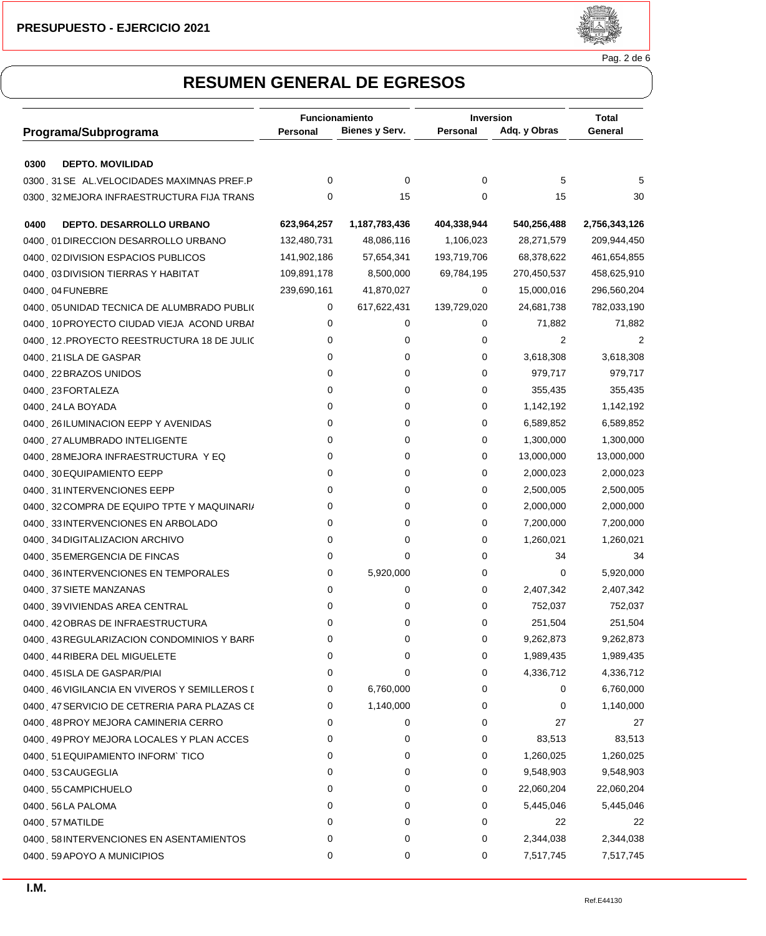

Pag. 2 de 6

|                                                                               | <b>Funcionamiento</b> |                | <b>Inversion</b> |              | Total         |  |
|-------------------------------------------------------------------------------|-----------------------|----------------|------------------|--------------|---------------|--|
| Programa/Subprograma                                                          | Personal              | Bienes y Serv. | Personal         | Adq. y Obras | General       |  |
|                                                                               |                       |                |                  |              |               |  |
| 0300<br><b>DEPTO. MOVILIDAD</b><br>0300 31 SEÑAL. VELOCIDADES MAXIMNAS PREF.P | 0                     | 0              | 0                | 5            |               |  |
|                                                                               | 0                     |                | 0                |              |               |  |
| 0300 32 MEJORA INFRAESTRUCTURA FIJA TRANS                                     |                       | 15             |                  | 15           | 30            |  |
| 0400<br>DEPTO. DESARROLLO URBANO                                              | 623,964,257           | 1,187,783,436  | 404,338,944      | 540,256,488  | 2,756,343,126 |  |
| 0400 01 DIRECCION DESARROLLO URBANO                                           | 132,480,731           | 48,086,116     | 1,106,023        | 28,271,579   | 209,944,450   |  |
| 0400 02 DIVISION ESPACIOS PUBLICOS                                            | 141,902,186           | 57,654,341     | 193,719,706      | 68,378,622   | 461,654,855   |  |
| 0400 03 DIVISION TIERRAS Y HABITAT                                            | 109,891,178           | 8,500,000      | 69,784,195       | 270,450,537  | 458,625,910   |  |
| 0400, 04 FUNEBRE                                                              | 239,690,161           | 41,870,027     | 0                | 15,000,016   | 296,560,204   |  |
| 0400 05 UNIDAD TECNICA DE ALUMBRADO PUBLIO                                    | 0                     | 617,622,431    | 139,729,020      | 24,681,738   | 782,033,190   |  |
| 0400 10 PROYECTO CIUDAD VIEJA ACOND URBAI                                     | 0                     | 0              | 0                | 71,882       | 71,882        |  |
| 0400 12. PROYECTO REESTRUCTURA 18 DE JULIC                                    | 0                     | 0              | 0                | 2            | 2             |  |
| 0400 21 ISLA DE GASPAR                                                        | 0                     | 0              | 0                | 3,618,308    | 3,618,308     |  |
| 0400 22 BRAZOS UNIDOS                                                         | 0                     | 0              | 0                | 979,717      | 979,717       |  |
| 0400 23 FORTALEZA                                                             | 0                     | 0              | 0                | 355,435      | 355,435       |  |
| 0400 24 LA BOYADA                                                             | 0                     | 0              | 0                | 1,142,192    | 1,142,192     |  |
| 0400 26 ILUMINACION EEPP Y AVENIDAS                                           | 0                     | 0              | 0                | 6,589,852    | 6,589,852     |  |
| 0400 27 ALUMBRADO INTELIGENTE                                                 | 0                     | 0              | 0                | 1,300,000    | 1,300,000     |  |
| 0400 28 MEJORA INFRAESTRUCTURA Y EQ                                           | 0                     | 0              | 0                | 13,000,000   | 13,000,000    |  |
| 0400 30 EQUIPAMIENTO EEPP                                                     | 0                     | 0              | 0                | 2,000,023    | 2,000,023     |  |
| 0400 31 INTERVENCIONES EEPP                                                   | 0                     | 0              | 0                | 2,500,005    | 2,500,005     |  |
| 0400 32 COMPRA DE EQUIPO TPTE Y MAQUINARI/                                    | 0                     | 0              | 0                | 2,000,000    | 2,000,000     |  |
| 0400 33INTERVENCIONES EN ARBOLADO                                             | 0                     | 0              | 0                | 7,200,000    | 7,200,000     |  |
| 0400 34 DIGITALIZACION ARCHIVO                                                | 0                     | 0              | 0                | 1,260,021    | 1,260,021     |  |
| 0400 35 EMERGENCIA DE FINCAS                                                  | 0                     | 0              | 0                | 34           | 34            |  |
| 0400 36 INTERVENCIONES EN TEMPORALES                                          | 0                     | 5,920,000      | 0                | 0            | 5,920,000     |  |
| 0400 37 SIETE MANZANAS                                                        | 0                     | 0              | 0                | 2,407,342    | 2,407,342     |  |
| 0400 39 VIVIENDAS AREA CENTRAL                                                | 0                     | 0              | 0                | 752,037      | 752,037       |  |
| 0400 42 OBRAS DE INFRAESTRUCTURA                                              | 0                     | 0              | 0                | 251,504      | 251,504       |  |
| 0400 43 REGULARIZACION CONDOMINIOS Y BARF                                     | 0                     | 0              | 0                | 9,262,873    | 9,262,873     |  |
| 0400 44 RIBERA DEL MIGUELETE                                                  | 0                     | 0              | 0                | 1,989,435    | 1,989,435     |  |
| 0400 45 ISLA DE GASPAR/PIAI                                                   | 0                     | 0              | 0                | 4,336,712    | 4,336,712     |  |
| 0400 46 VIGILANCIA EN VIVEROS Y SEMILLEROS [                                  | 0                     | 6,760,000      | 0                | 0            | 6,760,000     |  |
| 0400 47 SERVICIO DE CETRERIA PARA PLAZAS CE                                   | 0                     | 1,140,000      | 0                | 0            | 1,140,000     |  |
| 0400 48 PROY MEJORA CAMINERIA CERRO                                           | 0                     | 0              | 0                | 27           | 27            |  |
| 0400 49 PROY MEJORA LOCALES Y PLAN ACCES                                      | 0                     | 0              | 0                | 83,513       | 83,513        |  |
| 0400 51 EQUIPAMIENTO INFORM`TICO                                              | 0                     | 0              | 0                | 1,260,025    | 1,260,025     |  |
| 0400 53 CAUGEGLIA                                                             | 0                     | 0              | 0                | 9,548,903    | 9,548,903     |  |
| 0400 55 CAMPICHUELO                                                           | 0                     | 0              | 0                | 22,060,204   | 22,060,204    |  |
| 0400 56LA PALOMA                                                              | 0                     | 0              | 0                | 5,445,046    | 5,445,046     |  |
| 0400, 57 MATILDE                                                              | 0                     | 0              | 0                | 22           | 22            |  |
| 0400 58 INTERVENCIONES EN ASENTAMIENTOS                                       | 0                     | 0              | 0                | 2,344,038    | 2,344,038     |  |
| 0400 59 APOYO A MUNICIPIOS                                                    | 0                     | 0              | 0                | 7,517,745    | 7,517,745     |  |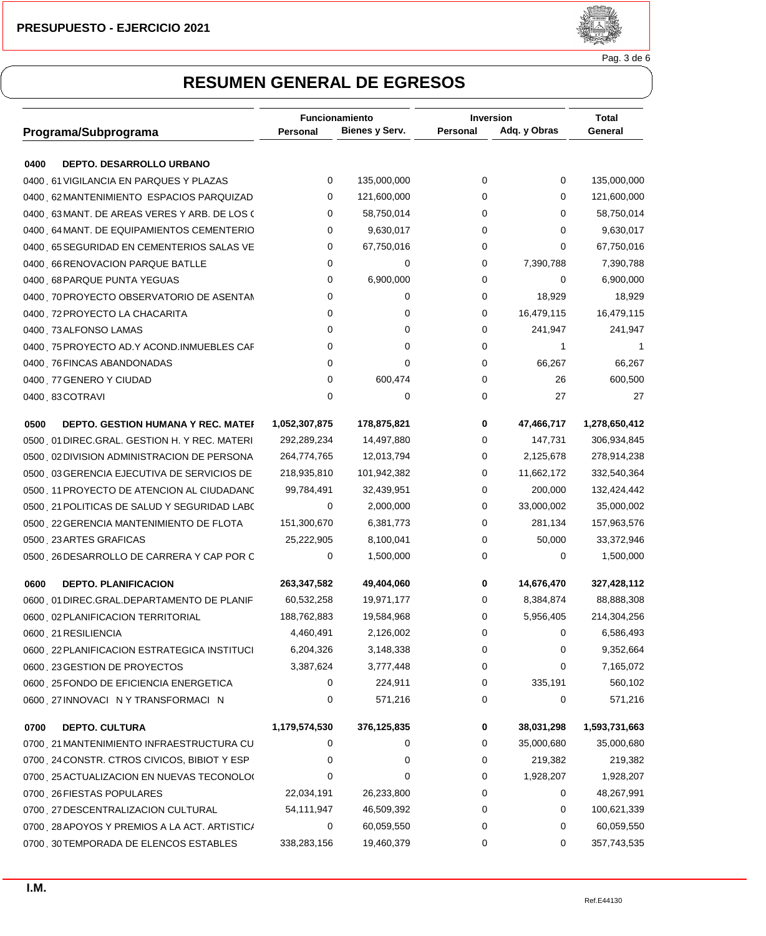

Pag. 3 de 6

|                                                   | Funcionamiento |                | <b>Inversion</b> |              | Total         |
|---------------------------------------------------|----------------|----------------|------------------|--------------|---------------|
| Programa/Subprograma                              | Personal       | Bienes y Serv. | Personal         | Adq. y Obras | General       |
|                                                   |                |                |                  |              |               |
| 0400<br><b>DEPTO. DESARROLLO URBANO</b>           |                |                |                  |              |               |
| 0400 61 VIGILANCIA EN PARQUES Y PLAZAS            | 0              | 135,000,000    | 0                | 0            | 135,000,000   |
| 0400 62 MANTENIMIENTO ESPACIOS PARQUIZAD          | 0              | 121,600,000    | 0                | 0            | 121,600,000   |
| 0400 63 MANT. DE AREAS VERES Y ARB. DE LOS (      | 0              | 58,750,014     | 0                | 0            | 58,750,014    |
| 0400 64 MANT. DE EQUIPAMIENTOS CEMENTERIO         | 0              | 9,630,017      | 0                | 0            | 9,630,017     |
| 0400 65 SEGURIDAD EN CEMENTERIOS SALAS VE         | 0              | 67,750,016     | 0                | 0            | 67,750,016    |
| 0400 66 RENOVACION PARQUE BATLLE                  | 0              | 0              | 0                | 7,390,788    | 7,390,788     |
| 0400 68 PARQUE PUNTA YEGUAS                       | 0              | 6,900,000      | 0                | 0            | 6,900,000     |
| 0400 70 PROYECTO OBSERVATORIO DE ASENTAM          | 0              | 0              | 0                | 18,929       | 18,929        |
| 0400 72 PROYECTO LA CHACARITA                     | 0              | 0              | 0                | 16,479,115   | 16,479,115    |
| 0400 73 ALFONSO LAMAS                             | 0              | 0              | 0                | 241,947      | 241,947       |
| 0400 75 PROYECTO AD.Y ACOND.INMUEBLES CAF         | 0              | 0              | 0                | 1            |               |
| 0400 76 FINCAS ABANDONADAS                        | 0              | 0              | 0                | 66,267       | 66,267        |
| 0400 77 GENERO Y CIUDAD                           | 0              | 600,474        | 0                | 26           | 600,500       |
| 0400 83 COTRAVI                                   | 0              | 0              | 0                | 27           | 27            |
| 0500<br><b>DEPTO. GESTION HUMANA Y REC. MATEF</b> | 1,052,307,875  | 178,875,821    | 0                | 47,466,717   | 1,278,650,412 |
| 0500 01 DIREC.GRAL. GESTION H. Y REC. MATERI      | 292,289,234    | 14,497,880     | 0                | 147,731      | 306,934,845   |
| 0500 02 DIVISION ADMINISTRACION DE PERSONA        | 264,774,765    | 12,013,794     | 0                | 2,125,678    | 278,914,238   |
| 0500 03 GERENCIA EJECUTIVA DE SERVICIOS DE        | 218,935,810    | 101,942,382    | 0                | 11,662,172   | 332,540,364   |
| 0500 11 PROYECTO DE ATENCION AL CIUDADANC         | 99,784,491     | 32,439,951     | 0                | 200,000      | 132,424,442   |
| 0500 21 POLITICAS DE SALUD Y SEGURIDAD LABO       | 0              | 2,000,000      | 0                | 33,000,002   | 35,000,002    |
| 0500 22 GERENCIA MANTENIMIENTO DE FLOTA           | 151,300,670    | 6,381,773      | 0                | 281,134      | 157,963,576   |
| 0500 23 ARTES GRAFICAS                            | 25,222,905     | 8,100,041      | 0                | 50,000       | 33,372,946    |
| 0500 26 DESARROLLO DE CARRERA Y CAP POR C         | 0              | 1,500,000      | 0                | 0            | 1,500,000     |
| <b>DEPTO. PLANIFICACION</b><br>0600               | 263,347,582    | 49,404,060     | 0                | 14,676,470   | 327,428,112   |
| 0600 01 DIREC.GRAL.DEPARTAMENTO DE PLANIF         | 60,532,258     | 19,971,177     | 0                | 8,384,874    | 88,888,308    |
| 0600 02 PLANIFICACION TERRITORIAL                 | 188,762,883    | 19,584,968     | 0                | 5,956,405    | 214,304,256   |
| 0600 21 RESILIENCIA                               | 4,460,491      | 2,126,002      | 0                | 0            | 6,586,493     |
| 0600 22 PLANIFICACION ESTRATEGICA INSTITUCI       | 6,204,326      | 3,148,338      | 0                | 0            | 9,352,664     |
| 0600 23 GESTION DE PROYECTOS                      | 3,387,624      | 3,777,448      | 0                | 0            | 7,165,072     |
| 0600 25 FONDO DE EFICIENCIA ENERGETICA            | 0              | 224,911        | 0                | 335,191      | 560,102       |
| 0600 27 INNOVACIÓN Y TRANSFORMACIÓN               | 0              | 571,216        | 0                | 0            | 571,216       |
| 0700<br><b>DEPTO. CULTURA</b>                     | 1,179,574,530  | 376,125,835    | 0                | 38,031,298   | 1,593,731,663 |
| 0700 21 MANTENIMIENTO INFRAESTRUCTURA CU          | 0              | 0              | 0                | 35,000,680   | 35,000,680    |
| 0700 24 CONSTR. CTROS CIVICOS, BIBIOT Y ESP       | 0              | 0              | 0                | 219,382      | 219,382       |
| 0700 25 ACTUALIZACION EN NUEVAS TECONOLO(         | 0              | 0              | 0                | 1,928,207    | 1,928,207     |
| 0700 26 FIESTAS POPULARES                         | 22,034,191     | 26,233,800     | 0                | 0            | 48,267,991    |
| 0700 27 DESCENTRALIZACION CULTURAL                | 54,111,947     | 46,509,392     | 0                | 0            | 100,621,339   |
| 0700 28 APOYOS Y PREMIOS A LA ACT. ARTISTIC/      | 0              | 60,059,550     | 0                | 0            | 60,059,550    |
| 0700 30 TEMPORADA DE ELENCOS ESTABLES             | 338,283,156    | 19,460,379     | 0                | 0            | 357,743,535   |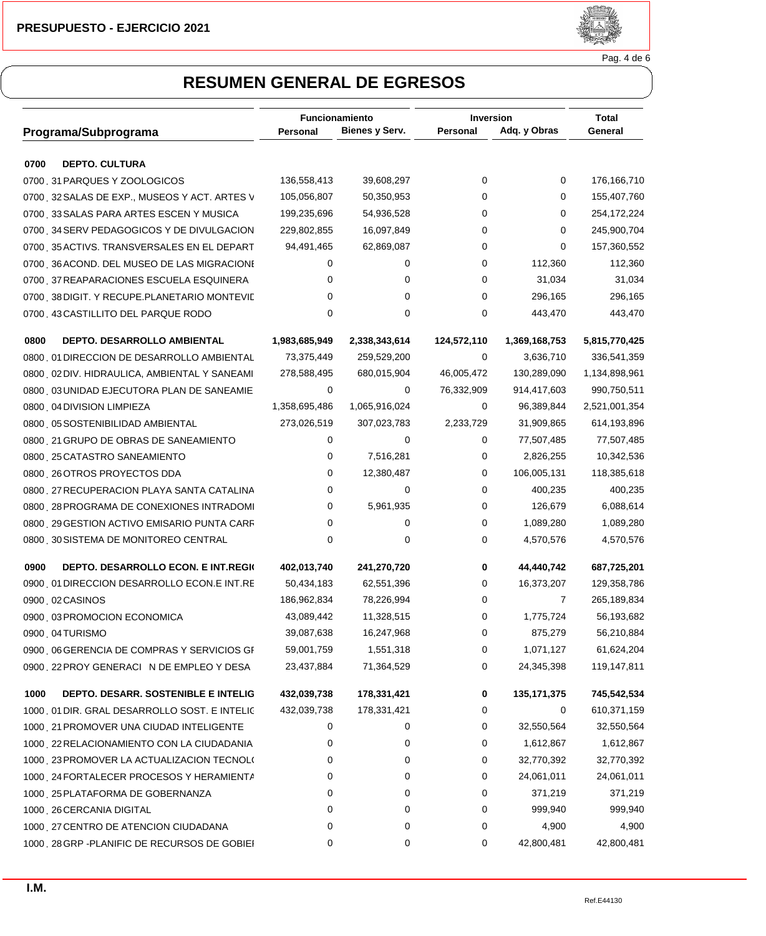

Pag. 4 de 6

|                                                   | Funcionamiento |                | <b>Inversion</b> |                | Total         |  |
|---------------------------------------------------|----------------|----------------|------------------|----------------|---------------|--|
| Programa/Subprograma                              | Personal       | Bienes y Serv. | Personal         | Adq. y Obras   | General       |  |
| <b>DEPTO. CULTURA</b><br>0700                     |                |                |                  |                |               |  |
| 0700 31 PARQUES Y ZOOLOGICOS                      | 136,558,413    | 39,608,297     | 0                | 0              | 176,166,710   |  |
| 0700 32 SALAS DE EXP., MUSEOS Y ACT. ARTES V      | 105,056,807    | 50,350,953     | 0                | 0              | 155,407,760   |  |
| 0700 33 SALAS PARA ARTES ESCEN Y MUSICA           | 199,235,696    | 54,936,528     | 0                | 0              | 254,172,224   |  |
| 0700 34 SERV PEDAGOGICOS Y DE DIVULGACION         | 229,802,855    | 16,097,849     | 0                | 0              | 245,900,704   |  |
| 0700 35 ACTIVS. TRANSVERSALES EN EL DEPART        | 94,491,465     | 62,869,087     | 0                | 0              | 157,360,552   |  |
| 0700 36 ACOND. DEL MUSEO DE LAS MIGRACIONE        | 0              | 0              | 0                | 112,360        | 112,360       |  |
| 0700 37 REAPARACIONES ESCUELA ESQUINERA           | 0              | 0              | 0                | 31,034         | 31,034        |  |
| 0700 38 DIGIT. Y RECUPE PLANETARIO MONTEVIE       | 0              | 0              | 0                | 296,165        | 296,165       |  |
| 0700 43 CASTILLITO DEL PARQUE RODO                | 0              | 0              | 0                | 443,470        | 443,470       |  |
| 0800<br>DEPTO. DESARROLLO AMBIENTAL               | 1,983,685,949  | 2,338,343,614  | 124,572,110      | 1,369,168,753  | 5,815,770,425 |  |
| 0800 01 DIRECCION DE DESARROLLO AMBIENTAL         | 73,375,449     | 259,529,200    | 0                | 3,636,710      | 336,541,359   |  |
| 0800 02 DIV. HIDRAULICA, AMBIENTAL Y SANEAMI      | 278,588,495    | 680,015,904    | 46,005,472       | 130,289,090    | 1,134,898,961 |  |
| 0800 03 UNIDAD EJECUTORA PLAN DE SANEAMIE         | 0              | 0              | 76,332,909       | 914,417,603    | 990,750,511   |  |
| 0800 04 DIVISION LIMPIEZA                         | 1,358,695,486  | 1,065,916,024  | 0                | 96,389,844     | 2,521,001,354 |  |
| 0800 05 SOSTENIBILIDAD AMBIENTAL                  | 273,026,519    | 307,023,783    | 2,233,729        | 31,909,865     | 614,193,896   |  |
| 0800 21 GRUPO DE OBRAS DE SANEAMIENTO             | 0              | 0              | 0                | 77,507,485     | 77,507,485    |  |
| 0800 25 CATASTRO SANEAMIENTO                      | 0              | 7,516,281      | 0                | 2,826,255      | 10,342,536    |  |
| 0800 26 OTROS PROYECTOS DDA                       | 0              | 12,380,487     | 0                | 106,005,131    | 118,385,618   |  |
| 0800 27 RECUPERACION PLAYA SANTA CATALINA         | 0              | 0              | 0                | 400,235        | 400,235       |  |
| 0800 28 PROGRAMA DE CONEXIONES INTRADOMI          | 0              | 5,961,935      | 0                | 126,679        | 6,088,614     |  |
| 0800 29 GESTION ACTIVO EMISARIO PUNTA CARF        | 0              | 0              | 0                | 1,089,280      | 1,089,280     |  |
| 0800 30 SISTEMA DE MONITOREO CENTRAL              | 0              | 0              | 0                | 4,570,576      | 4,570,576     |  |
| 0900<br><b>DEPTO. DESARROLLO ECON. E INT.REGK</b> | 402,013,740    | 241,270,720    | 0                | 44,440,742     | 687,725,201   |  |
| 0900 01 DIRECCION DESARROLLO ECON.E INT.RE        | 50,434,183     | 62,551,396     | 0                | 16,373,207     | 129,358,786   |  |
| 0900 02 CASINOS                                   | 186,962,834    | 78,226,994     | 0                | $\overline{7}$ | 265,189,834   |  |
| 0900 03 PROMOCION ECONOMICA                       | 43,089,442     | 11,328,515     | 0                | 1,775,724      | 56,193,682    |  |
| 0900 04 TURISMO                                   | 39,087,638     | 16,247,968     | 0                | 875,279        | 56,210,884    |  |
| 0900 06 GERENCIA DE COMPRAS Y SERVICIOS GF        | 59,001,759     | 1,551,318      | 0                | 1,071,127      | 61,624,204    |  |
| 0900 22 PROY GENERACIÓN DE EMPLEO Y DESA          | 23,437,884     | 71,364,529     | 0                | 24,345,398     | 119,147,811   |  |
| 1000<br>DEPTO. DESARR. SOSTENIBLE E INTELIG       | 432,039,738    | 178,331,421    | 0                | 135, 171, 375  | 745,542,534   |  |
| 1000 01 DIR. GRAL DESARROLLO SOST. E INTELIC      | 432,039,738    | 178,331,421    | 0                | 0              | 610,371,159   |  |
| 1000 21 PROMOVER UNA CIUDAD INTELIGENTE           | 0              | 0              | 0                | 32,550,564     | 32,550,564    |  |
| 1000 22 RELACIONAMIENTO CON LA CIUDADANIA         | 0              | 0              | 0                | 1,612,867      | 1,612,867     |  |
| 1000 23 PROMOVER LA ACTUALIZACION TECNOLO         | 0              | 0              | 0                | 32,770,392     | 32,770,392    |  |
| 1000 24 FORTALECER PROCESOS Y HERAMIENTA          | 0              | 0              | 0                | 24,061,011     | 24,061,011    |  |
| 1000 25 PLATAFORMA DE GOBERNANZA                  | 0              | 0              | 0                | 371,219        | 371,219       |  |
| 1000 26 CERCANIA DIGITAL                          | 0              | 0              | 0                | 999,940        | 999,940       |  |
| 1000 27 CENTRO DE ATENCION CIUDADANA              | 0              | 0              | 0                | 4,900          | 4,900         |  |
| 1000 28 GRP - PLANIFIC DE RECURSOS DE GOBIEI      | 0              | 0              | 0                | 42,800,481     | 42,800,481    |  |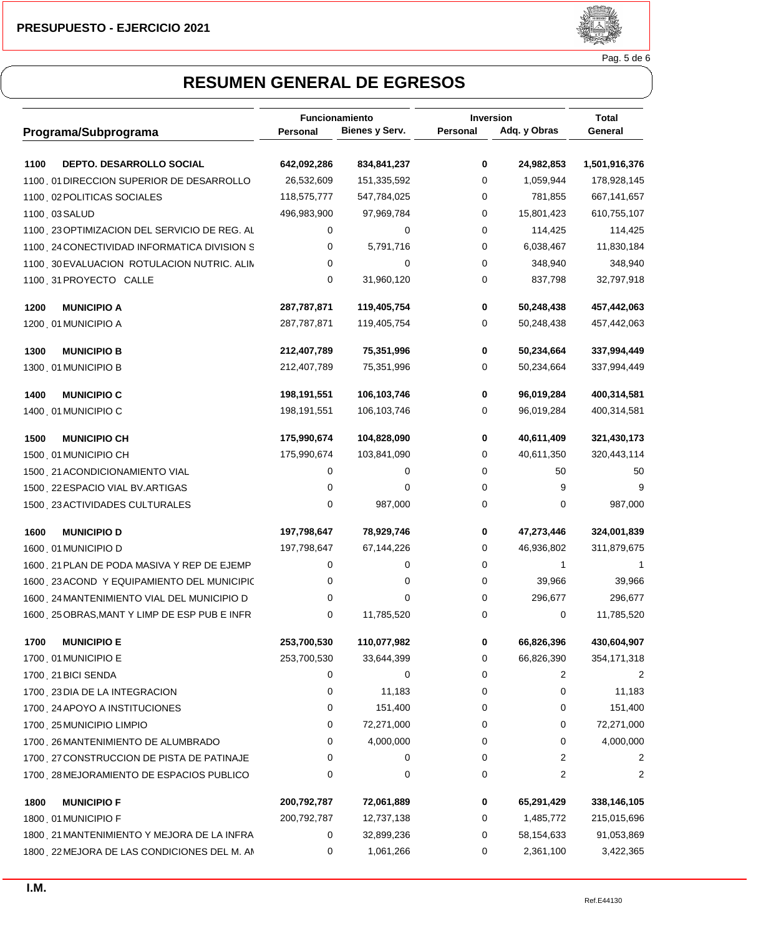

Pag. 5 de 6

|                                              | Funcionamiento |                | Inversion |              | <b>Total</b>   |  |
|----------------------------------------------|----------------|----------------|-----------|--------------|----------------|--|
| Programa/Subprograma                         | Personal       | Bienes y Serv. | Personal  | Adq. y Obras | General        |  |
| DEPTO. DESARROLLO SOCIAL<br>1100             | 642,092,286    | 834,841,237    | 0         | 24,982,853   | 1,501,916,376  |  |
| 1100 01 DIRECCION SUPERIOR DE DESARROLLO     | 26,532,609     | 151,335,592    | 0         | 1,059,944    | 178,928,145    |  |
| 1100 02 POLITICAS SOCIALES                   | 118,575,777    | 547,784,025    | 0         | 781,855      | 667,141,657    |  |
| 1100 03 SALUD                                | 496,983,900    | 97,969,784     | 0         | 15,801,423   | 610,755,107    |  |
| 1100 23 OPTIMIZACION DEL SERVICIO DE REG. AL | 0              | 0              | 0         | 114,425      | 114,425        |  |
| 1100 24 CONECTIVIDAD INFORMATICA DIVISION S  | 0              | 5,791,716      | 0         | 6,038,467    | 11,830,184     |  |
| 1100, 30 EVALUACION ROTULACION NUTRIC. ALIN  | 0              | 0              | 0         | 348,940      | 348,940        |  |
| 1100 31 PROYECTO CALLE                       | 0              | 31,960,120     | 0         | 837,798      | 32,797,918     |  |
| <b>MUNICIPIO A</b><br>1200                   | 287,787,871    | 119,405,754    | 0         | 50,248,438   | 457,442,063    |  |
| 1200 01 MUNICIPIO A                          | 287,787,871    | 119,405,754    | 0         | 50,248,438   | 457,442,063    |  |
| 1300<br><b>MUNICIPIO B</b>                   | 212,407,789    | 75,351,996     | 0         | 50,234,664   | 337,994,449    |  |
| 1300 01 MUNICIPIO B                          | 212,407,789    | 75,351,996     | 0         | 50,234,664   | 337,994,449    |  |
| <b>MUNICIPIO C</b><br>1400                   | 198,191,551    | 106,103,746    | 0         | 96,019,284   | 400,314,581    |  |
| 1400 01 MUNICIPIO C                          | 198,191,551    | 106,103,746    | 0         | 96,019,284   | 400,314,581    |  |
| 1500<br><b>MUNICIPIO CH</b>                  | 175,990,674    | 104,828,090    | 0         | 40,611,409   | 321,430,173    |  |
| 1500 01 MUNICIPIO CH                         | 175,990,674    | 103,841,090    | 0         | 40,611,350   | 320,443,114    |  |
| 1500 21 ACONDICIONAMIENTO VIAL               | 0              | 0              | 0         | 50           | 50             |  |
| 1500 22 ESPACIO VIAL BV.ARTIGAS              | 0              | 0              | 0         | 9            | 9              |  |
| 1500 23 ACTIVIDADES CULTURALES               | 0              | 987,000        | 0         | 0            | 987,000        |  |
| 1600<br><b>MUNICIPIO D</b>                   | 197,798,647    | 78,929,746     | 0         | 47,273,446   | 324,001,839    |  |
| 1600 01 MUNICIPIO D                          | 197,798,647    | 67,144,226     | 0         | 46,936,802   | 311,879,675    |  |
| 1600 21 PLAN DE PODA MASIVA Y REP DE EJEMP   | 0              | 0              | 0         | 1            |                |  |
| 1600 23 ACOND Y EQUIPAMIENTO DEL MUNICIPIC   | 0              | 0              | 0         | 39,966       | 39,966         |  |
| 1600, 24 MANTENIMIENTO VIAL DEL MUNICIPIO D  | 0              | 0              | 0         | 296,677      | 296,677        |  |
| 1600 25 OBRAS, MANT Y LIMP DE ESP PUB E INFR | 0              | 11,785,520     | 0         | 0            | 11,785,520     |  |
| <b>MUNICIPIO E</b><br>1700                   | 253,700,530    | 110,077,982    | 0         | 66,826,396   | 430,604,907    |  |
| 1700 01 MUNICIPIO E                          | 253,700,530    | 33,644,399     | 0         | 66,826,390   | 354, 171, 318  |  |
| 1700 21 BICI SENDA                           | 0              | 0              | 0         | 2            |                |  |
| 1700 23 DIA DE LA INTEGRACION                | 0              | 11,183         | 0         | 0            | 11,183         |  |
| 1700 24 APOYO A INSTITUCIONES                | 0              | 151,400        | 0         | 0            | 151,400        |  |
| 1700 25 MUNICIPIO LIMPIO                     | 0              | 72,271,000     | 0         | 0            | 72,271,000     |  |
| 1700 26 MANTENIMIENTO DE ALUMBRADO           | 0              | 4,000,000      | 0         | 0            | 4,000,000      |  |
| 1700 27 CONSTRUCCION DE PISTA DE PATINAJE    | 0              | 0              | 0         | 2            | $\overline{c}$ |  |
| 1700 28 MEJORAMIENTO DE ESPACIOS PUBLICO     | 0              | 0              | 0         | 2            | 2              |  |
| 1800<br><b>MUNICIPIO F</b>                   | 200,792,787    | 72,061,889     | 0         | 65,291,429   | 338,146,105    |  |
| 1800, 01 MUNICIPIO F                         | 200,792,787    | 12,737,138     | 0         | 1,485,772    | 215,015,696    |  |
| 1800 21 MANTENIMIENTO Y MEJORA DE LA INFRA   | 0              | 32,899,236     | 0         | 58,154,633   | 91,053,869     |  |
| 1800 22 MEJORA DE LAS CONDICIONES DEL M. AN  | 0              | 1,061,266      | 0         | 2,361,100    | 3,422,365      |  |